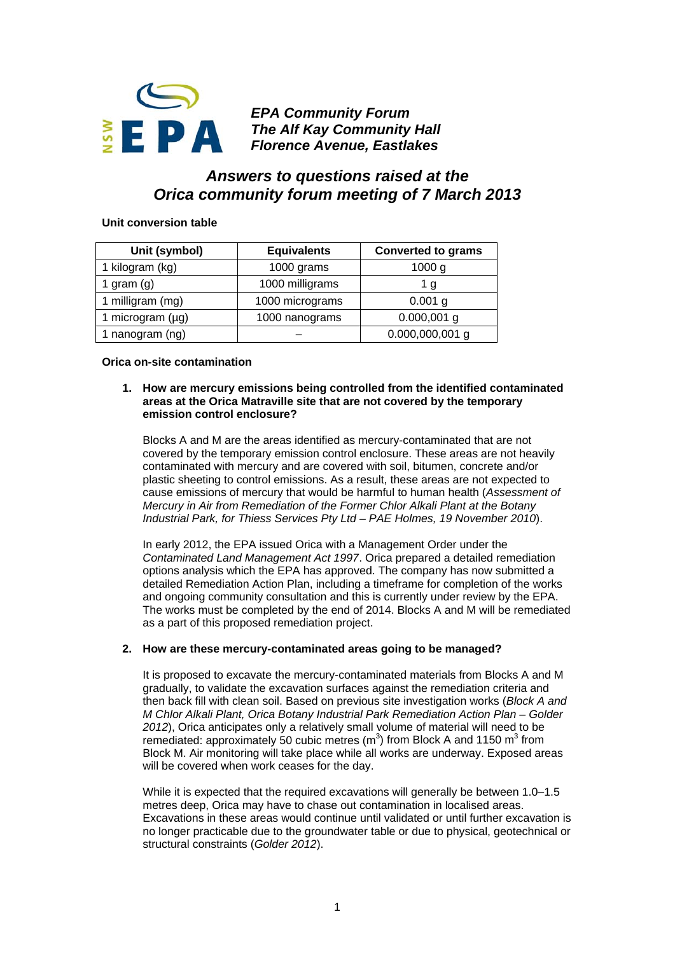

*EPA Community Forum The Alf Kay Community Hall Florence Avenue, Eastlakes* 

# *Answers to questions raised at the Orica community forum meeting of 7 March 2013*

# **Unit conversion table**

| Unit (symbol)         | <b>Equivalents</b> | <b>Converted to grams</b> |
|-----------------------|--------------------|---------------------------|
| 1 kilogram (kg)       | 1000 grams         | 1000 g                    |
| 1 gram $(g)$          | 1000 milligrams    | 1 g                       |
| 1 milligram (mg)      | 1000 micrograms    | $0.001$ g                 |
| 1 microgram $(\mu g)$ | 1000 nanograms     | $0.000,001$ g             |
| 1 nanogram (ng)       |                    | $0.000,000,001$ g         |

## **Orica on-site contamination**

## **1. How are mercury emissions being controlled from the identified contaminated areas at the Orica Matraville site that are not covered by the temporary emission control enclosure?**

Blocks A and M are the areas identified as mercury-contaminated that are not covered by the temporary emission control enclosure. These areas are not heavily contaminated with mercury and are covered with soil, bitumen, concrete and/or plastic sheeting to control emissions. As a result, these areas are not expected to cause emissions of mercury that would be harmful to human health (*Assessment of Mercury in Air from Remediation of the Former Chlor Alkali Plant at the Botany Industrial Park, for Thiess Services Pty Ltd – PAE Holmes, 19 November 2010*).

In early 2012, the EPA issued Orica with a Management Order under the *Contaminated Land Management Act 1997*. Orica prepared a detailed remediation options analysis which the EPA has approved. The company has now submitted a detailed Remediation Action Plan, including a timeframe for completion of the works and ongoing community consultation and this is currently under review by the EPA. The works must be completed by the end of 2014. Blocks A and M will be remediated as a part of this proposed remediation project.

# **2. How are these mercury-contaminated areas going to be managed?**

It is proposed to excavate the mercury-contaminated materials from Blocks A and M gradually, to validate the excavation surfaces against the remediation criteria and then back fill with clean soil. Based on previous site investigation works (*Block A and M Chlor Alkali Plant, Orica Botany Industrial Park Remediation Action Plan – Golder 2012*), Orica anticipates only a relatively small volume of material will need to be remediated: approximately 50 cubic metres  $(m^3)$  from Block A and 1150  $m^3$  from Block M. Air monitoring will take place while all works are underway. Exposed areas will be covered when work ceases for the day.

While it is expected that the required excavations will generally be between 1.0–1.5 metres deep, Orica may have to chase out contamination in localised areas. Excavations in these areas would continue until validated or until further excavation is no longer practicable due to the groundwater table or due to physical, geotechnical or structural constraints (*Golder 2012*).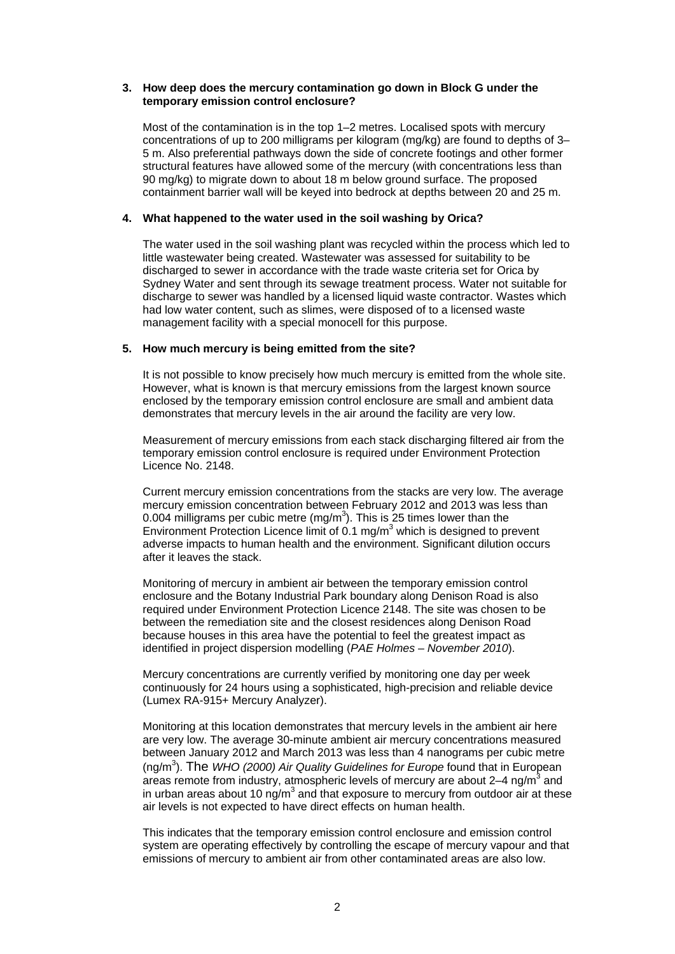## **3. How deep does the mercury contamination go down in Block G under the temporary emission control enclosure?**

Most of the contamination is in the top 1–2 metres. Localised spots with mercury concentrations of up to 200 milligrams per kilogram (mg/kg) are found to depths of 3– 5 m. Also preferential pathways down the side of concrete footings and other former structural features have allowed some of the mercury (with concentrations less than 90 mg/kg) to migrate down to about 18 m below ground surface. The proposed containment barrier wall will be keyed into bedrock at depths between 20 and 25 m.

## **4. What happened to the water used in the soil washing by Orica?**

The water used in the soil washing plant was recycled within the process which led to little wastewater being created. Wastewater was assessed for suitability to be discharged to sewer in accordance with the trade waste criteria set for Orica by Sydney Water and sent through its sewage treatment process. Water not suitable for discharge to sewer was handled by a licensed liquid waste contractor. Wastes which had low water content, such as slimes, were disposed of to a licensed waste management facility with a special monocell for this purpose.

#### **5. How much mercury is being emitted from the site?**

It is not possible to know precisely how much mercury is emitted from the whole site. However, what is known is that mercury emissions from the largest known source enclosed by the temporary emission control enclosure are small and ambient data demonstrates that mercury levels in the air around the facility are very low.

Measurement of mercury emissions from each stack discharging filtered air from the temporary emission control enclosure is required under Environment Protection Licence No. 2148.

Current mercury emission concentrations from the stacks are very low. The average mercury emission concentration between February 2012 and 2013 was less than 0.004 milligrams per cubic metre (mg/m<sup>3</sup>). This is 25 times lower than the Environment Protection Licence limit of  $0.1$  mg/m<sup>3</sup> which is designed to prevent adverse impacts to human health and the environment. Significant dilution occurs after it leaves the stack.

Monitoring of mercury in ambient air between the temporary emission control enclosure and the Botany Industrial Park boundary along Denison Road is also required under Environment Protection Licence 2148. The site was chosen to be between the remediation site and the closest residences along Denison Road because houses in this area have the potential to feel the greatest impact as identified in project dispersion modelling (*PAE Holmes – November 2010*).

Mercury concentrations are currently verified by monitoring one day per week continuously for 24 hours using a sophisticated, high-precision and reliable device (Lumex RA-915+ Mercury Analyzer).

Monitoring at this location demonstrates that mercury levels in the ambient air here are very low. The average 30-minute ambient air mercury concentrations measured between January 2012 and March 2013 was less than 4 nanograms per cubic metre (ng/m<sup>3</sup>). The *WHO (2000) Air Quality Guidelines for Europe* found that in European areas remote from industry, atmospheric levels of mercury are about  $2-4$  ng/m<sup>3</sup> and in urban areas about 10 ng/m<sup>3</sup> and that exposure to mercury from outdoor air at these air levels is not expected to have direct effects on human health.

This indicates that the temporary emission control enclosure and emission control system are operating effectively by controlling the escape of mercury vapour and that emissions of mercury to ambient air from other contaminated areas are also low.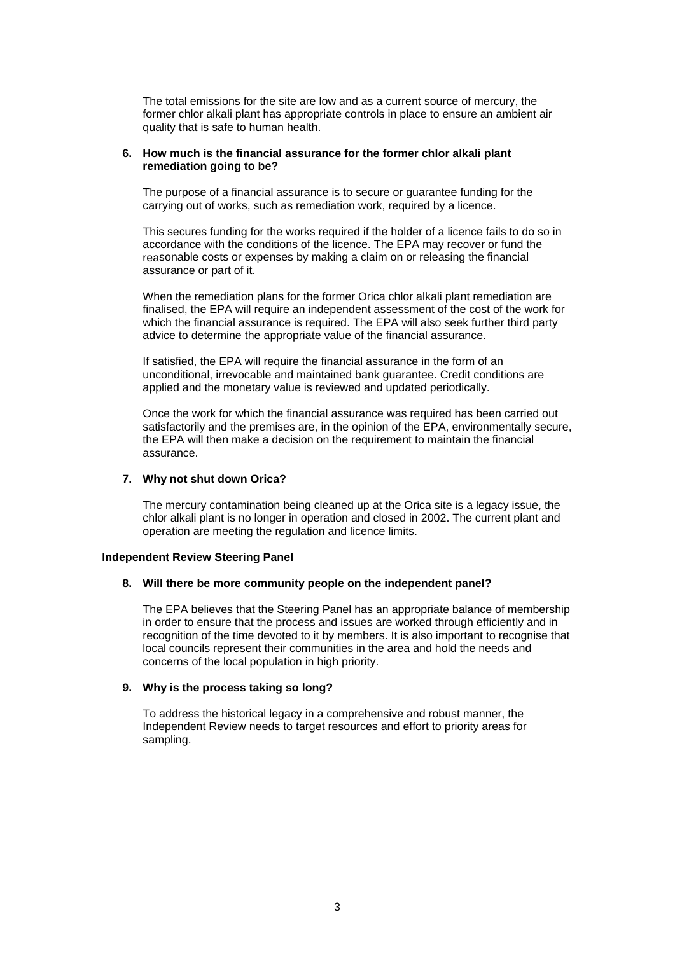The total emissions for the site are low and as a current source of mercury, the former chlor alkali plant has appropriate controls in place to ensure an ambient air quality that is safe to human health.

## **6. How much is the financial assurance for the former chlor alkali plant remediation going to be?**

The purpose of a financial assurance is to secure or guarantee [funding](http://www.austlii.edu.au/au/legis/nsw/consol_act/poteoa1997455/s295za.html#fund) for the carrying out of works, such as remediation work, required by a licence.

This secures funding for the works required if the holder of a licence fails to do so in accordance with the [conditions](http://www.austlii.edu.au/au/legis/nsw/consol_act/poteoa1997455/s297.html#conditions) of the licence. The EPA may recover or [fund](http://www.austlii.edu.au/au/legis/nsw/consol_act/poteoa1997455/s295za.html#fund) the reasonable costs or expenses by making a claim on or releasing the financial assurance or part of it.

When the remediation plans for the former Orica chlor alkali plant remediation are finalised, the EPA will require an independent assessment of the cost of the work for which the financial assurance is required. The EPA will also seek further third party advice to determine the appropriate value of the financial assurance.

If satisfied, the EPA will require the financial assurance in the form of an unconditional, irrevocable and maintained bank guarantee. Credit conditions are applied and the monetary value is reviewed and updated periodically.

Once the work for which the financial assurance was required has been carried out satisfactorily and the premises are, in the opinion of the EPA, environmentally secure, the EPA will then make a decision on the requirement to maintain the financial assurance.

## **7. Why not shut down Orica?**

The mercury contamination being cleaned up at the Orica site is a legacy issue, the chlor alkali plant is no longer in operation and closed in 2002. The current plant and operation are meeting the regulation and licence limits.

#### **Independent Review Steering Panel**

## **8. Will there be more community people on the independent panel?**

The EPA believes that the Steering Panel has an appropriate balance of membership in order to ensure that the process and issues are worked through efficiently and in recognition of the time devoted to it by members. It is also important to recognise that local councils represent their communities in the area and hold the needs and concerns of the local population in high priority.

# **9. Why is the process taking so long?**

To address the historical legacy in a comprehensive and robust manner, the Independent Review needs to target resources and effort to priority areas for sampling.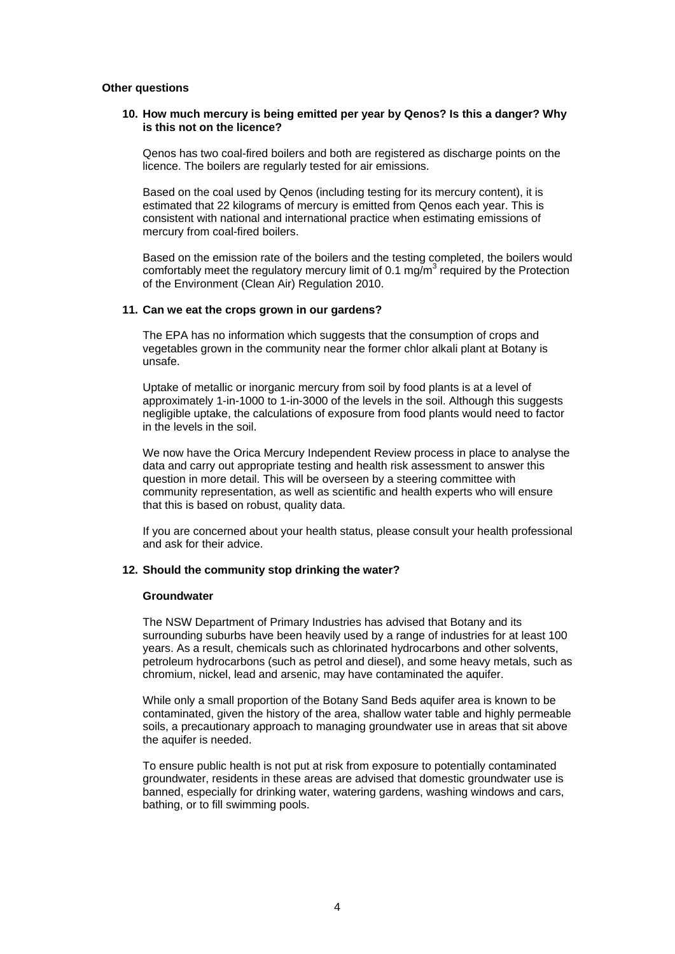## **Other questions**

## **10. How much mercury is being emitted per year by Qenos? Is this a danger? Why is this not on the licence?**

Qenos has two coal-fired boilers and both are registered as discharge points on the licence. The boilers are regularly tested for air emissions.

Based on the coal used by Qenos (including testing for its mercury content), it is estimated that 22 kilograms of mercury is emitted from Qenos each year. This is consistent with national and international practice when estimating emissions of mercury from coal-fired boilers.

Based on the emission rate of the boilers and the testing completed, the boilers would comfortably meet the regulatory mercury limit of 0.1 mg/m<sup>3</sup> required by the Protection of the Environment (Clean Air) Regulation 2010.

#### **11. Can we eat the crops grown in our gardens?**

The EPA has no information which suggests that the consumption of crops and vegetables grown in the community near the former chlor alkali plant at Botany is unsafe.

Uptake of metallic or inorganic mercury from soil by food plants is at a level of approximately 1-in-1000 to 1-in-3000 of the levels in the soil. Although this suggests negligible uptake, the calculations of exposure from food plants would need to factor in the levels in the soil.

We now have the Orica Mercury Independent Review process in place to analyse the data and carry out appropriate testing and health risk assessment to answer this question in more detail. This will be overseen by a steering committee with community representation, as well as scientific and health experts who will ensure that this is based on robust, quality data.

If you are concerned about your health status, please consult your health professional and ask for their advice.

## **12. Should the community stop drinking the water?**

#### **Groundwater**

The NSW Department of Primary Industries has advised that Botany and its surrounding suburbs have been heavily used by a range of industries for at least 100 years. As a result, chemicals such as chlorinated hydrocarbons and other solvents, petroleum hydrocarbons (such as petrol and diesel), and some heavy metals, such as chromium, nickel, lead and arsenic, may have contaminated the aquifer.

While only a small proportion of the Botany Sand Beds aquifer area is known to be contaminated, given the history of the area, shallow water table and highly permeable soils, a precautionary approach to managing groundwater use in areas that sit above the aquifer is needed.

To ensure public health is not put at risk from exposure to potentially contaminated groundwater, residents in these areas are advised that domestic groundwater use is banned, especially for drinking water, watering gardens, washing windows and cars, bathing, or to fill swimming pools.